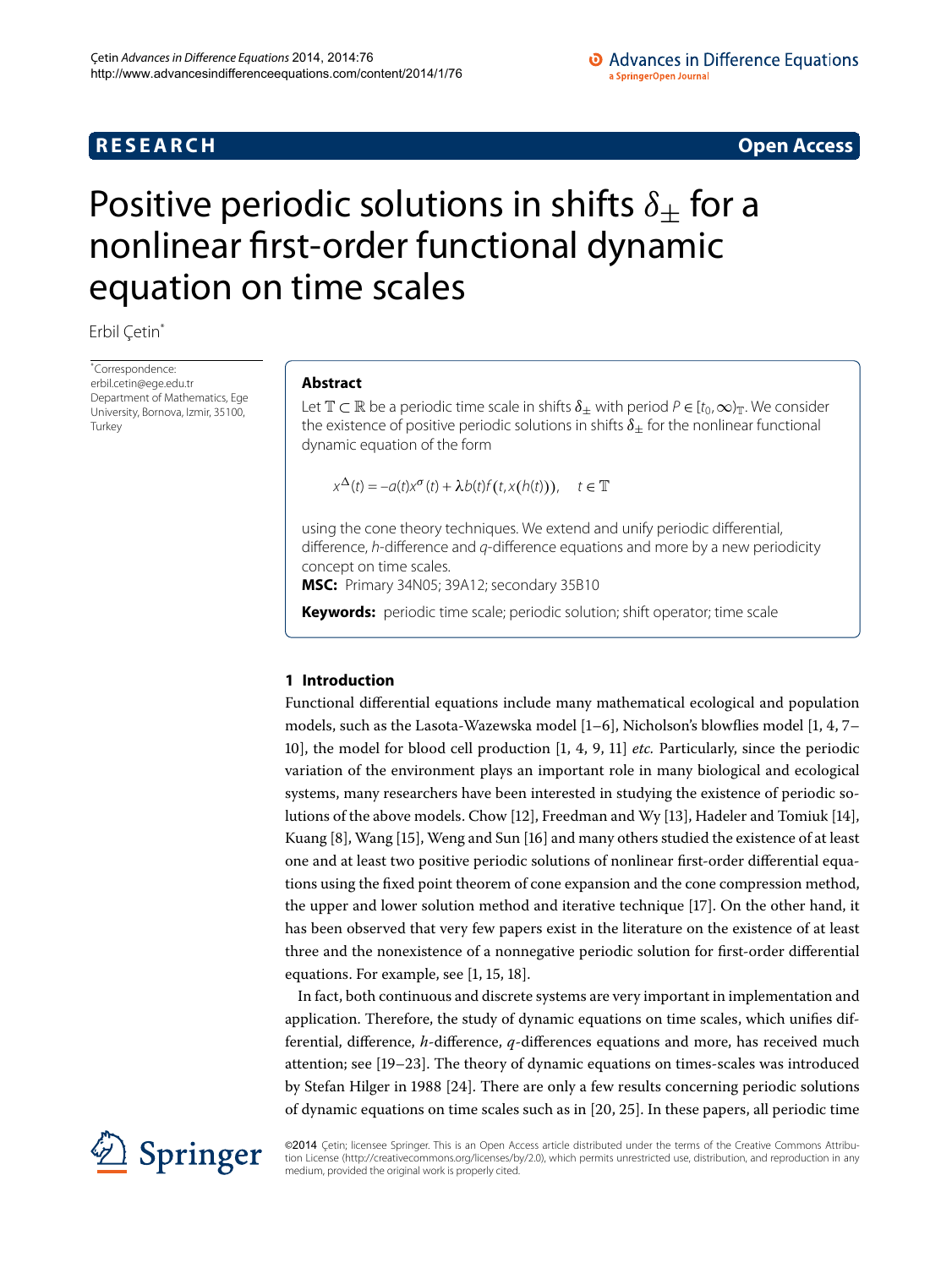## **R E S E A R C H Open Access**

# <span id="page-0-0"></span>Positive periodic solutions in shifts  $\delta_+$  for a nonlinear first-order functional dynamic equation on time scales

Erbil Çeti[n\\*](#page-0-0)

\* Correspondence: [erbil.cetin@ege.edu.tr](mailto:erbil.cetin@ege.edu.tr) Department of Mathematics, Ege University, Bornova, Izmir, 35100, **Turkey** 

#### **Abstract**

Let  $\mathbb{T} \subset \mathbb{R}$  be a periodic time scale in shifts  $\delta_+$  with period  $P \in [t_0, \infty)_\mathbb{T}$ . We consider the existence of positive periodic solutions in shifts  $\delta_+$  for the nonlinear functional dynamic equation of the form

 $x^{\Delta}(t)=-a(t)x^{\sigma}(t)+\lambda b(t)f(t,x(h(t))), t \in \mathbb{T}$ 

using the cone theory techniques. We extend and unify periodic differential, difference, h-difference and q-difference equations and more by a new periodicity concept on time scales.

**MSC:** Primary 34N05; 39A12; secondary 35B10

**Keywords:** periodic time scale; periodic solution; shift operator; time scale

#### **1 Introduction**

Functional differential equations include many mathematical ecological and population models[,](#page-11-2) such as the Lasota-Wazewska model  $[1-6]$  $[1-6]$ , Nicholson's blowflies model  $[1, 4, 7-$ 10[\]](#page-11-6)[,](#page-11-2) the model for blood cell production  $[1, 4, 9, 11]$  *etc.* Particularly, since the periodic variation of the environment plays an important role in many biological and ecological systems, many researchers have been interested in studying the existence of periodic so-lutions of the above models. Chow [12[\]](#page-11-9), Freedman and Wy [13], Hadeler and Tomiuk [14], Kuang  $[8]$  $[8]$ , Wang  $[15]$ , Weng and Sun  $[16]$  and many others studied the existence of at least one and at least two positive periodic solutions of nonlinear first-order differential equations using the fixed point theorem of cone expansion and the cone compression method, the upper and lower solution method and iterative technique [17[\]](#page-11-13). On the other hand, it has been observed that very few papers exist in the literature on the existence of at least three and the nonexistence of a nonnegative periodic solution for first-order differential equations. For example[,](#page-11-0) see  $[1, 15, 18]$  $[1, 15, 18]$ .

In fact, both continuous and discrete systems are very important in implementation and application. Therefore, the study of dynamic equations on time scales, which unifies differential, difference, *h*-difference, *q*-differences equations and more, has received much attention; see  $[19-23]$  $[19-23]$ . The theory of dynamic equations on times-scales was introduced by Stefan Hilger in 1988 [24]. There are only a few results concerning periodic solutions of dynamic equations on time scales such as in  $[20, 25]$  $[20, 25]$  $[20, 25]$  $[20, 25]$ . In these papers, all periodic time



©2014 Çetin; licensee Springer. This is an Open Access article distributed under the terms of the Creative Commons Attribution License ([http://creativecommons.org/licenses/by/2.0\)](http://creativecommons.org/licenses/by/2.0), which permits unrestricted use, distribution, and reproduction in any medium, provided the original work is properly cited.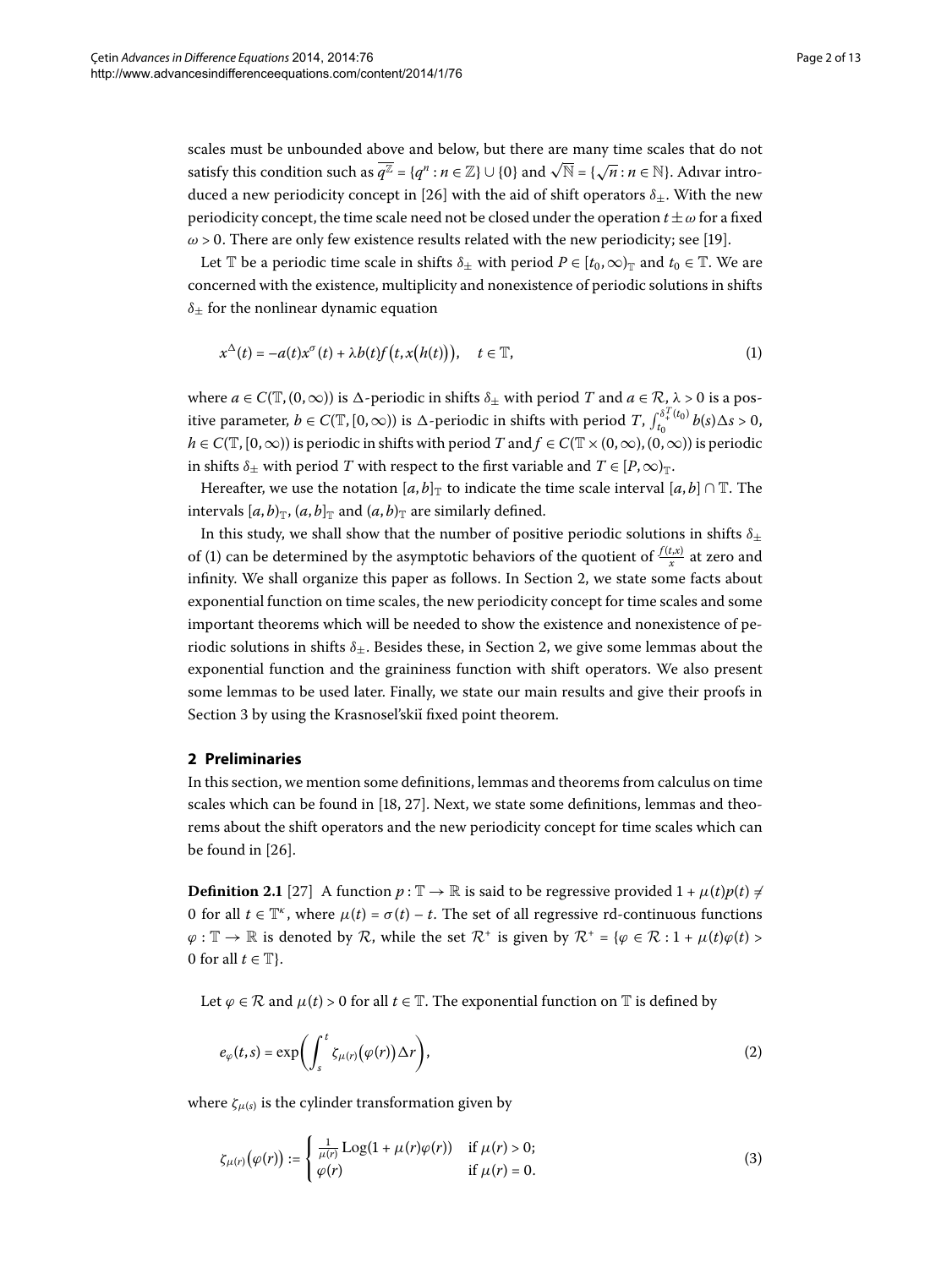scales must be unbounded above and below, but there are many time scales that do not satisfy this condition such as  $\overline{q^{\mathbb{Z}}} = \{q^n : n \in \mathbb{Z}\} \cup \{0\}$  and  $\sqrt{\mathbb{N}} = \{\sqrt{n} : n \in \mathbb{N}\}\)$ . Adıvar introduced a new periodicity concept in [26] with the aid of shift operators  $\delta_{\pm}$ . With the new periodicity concept, the time scale need not be closed under the operation  $t \pm \omega$  for a fixed  $\omega > 0$ . There are only few existence results related with the new periodicity; see [\[](#page-11-15)19].

Let T be a periodic time scale in shifts  $\delta_+$  with period  $P \in [t_0, \infty)$  and  $t_0 \in \mathbb{T}$ . We are concerned with the existence, multiplicity and nonexistence of periodic solutions in shifts *δ*<sup>±</sup> for the nonlinear dynamic equation

<span id="page-1-0"></span>
$$
x^{\Delta}(t) = -a(t)x^{\sigma}(t) + \lambda b(t)f(t,x(h(t))), \quad t \in \mathbb{T},
$$
\n(1)

where  $a \in C(\mathbb{T}, (0, \infty))$  is  $\Delta$ -periodic in shifts  $\delta_{\pm}$  with period *T* and  $a \in \mathbb{R}$ ,  $\lambda > 0$  is a positive parameter,  $b \in C(\mathbb{T}, [0, \infty))$  is  $\Delta$ -periodic in shifts with period *T*,  $\int_{t_0}^{\delta_x^T t_0} b(s) \Delta s > 0$ ,  $h \in C(\mathbb{T}, [0, \infty))$  is periodic in shifts with period *T* and  $f \in C(\mathbb{T} \times (0, \infty), (0, \infty))$  is periodic in shifts  $\delta_{\pm}$  with period *T* with respect to the first variable and  $T \in [P, \infty)_{\mathbb{T}}$ .

Hereafter, we use the notation  $[a, b]_{\mathbb{T}}$  to indicate the time scale interval  $[a, b] \cap \mathbb{T}$ . The intervals  $[a, b]$ <sub>T</sub>,  $(a, b]$ <sub>T</sub> and  $(a, b)$ <sub>T</sub> are similarly defined.

<span id="page-1-1"></span>In this study, we shall show that the number of positive periodic solutions in shifts  $\delta_{\pm}$ of (1) can be determined by the asymptotic behaviors of the quotient of  $\frac{f(t,x)}{x}$  at zero and infinity. We shall organize this paper as follows. In Section 2, we state some facts about exponential function on time scales, the new periodicity concept for time scales and some important theorems which will be needed to show the existence and nonexistence of periodic solutions in shifts  $\delta_{\pm}$ . Besides these, in Section 2, we give some lemmas about the exponential function and the graininess function with shift operators. We also present some lemmas to be used later. Finally, we state our main results and give their proofs in Section 3 by using the Krasnosel'skiï fixed point theorem.

#### **2 Preliminaries**

In this section, we mention some definitions, lemmas and theorems from calculus on time scales which can be found in  $[18, 27]$  $[18, 27]$  $[18, 27]$  $[18, 27]$ . Next, we state some definitions, lemmas and theorems about the shift operators and the new periodicity concept for time scales which can be found in  $[26]$ .

**Definition 2.1** [27[\]](#page-12-4) A function  $p : \mathbb{T} \to \mathbb{R}$  is said to be regressive provided  $1 + \mu(t)p(t) \neq$ 0 for all  $t \in \mathbb{T}^k$ , where  $\mu(t) = \sigma(t) - t$ . The set of all regressive rd-continuous functions  $\varphi : \mathbb{T} \to \mathbb{R}$  is denoted by  $\mathcal{R}$ , while the set  $\mathcal{R}^+$  is given by  $\mathcal{R}^+ = {\varphi \in \mathcal{R} : 1 + \mu(t)\varphi(t)} > 0$ 0 for all  $t \in \mathbb{T}$ .

Let  $\varphi \in \mathcal{R}$  and  $\mu(t) > 0$  for all  $t \in \mathbb{T}$ . The exponential function on  $\mathbb{T}$  is defined by

$$
e_{\varphi}(t,s) = \exp\biggl(\int_{s}^{t} \zeta_{\mu(r)}\bigl(\varphi(r)\bigr) \Delta r\biggr),\tag{2}
$$

where  $\zeta_{\mu(s)}$  is the cylinder transformation given by

$$
\zeta_{\mu(r)}\big(\varphi(r)\big) := \begin{cases} \frac{1}{\mu(r)} \operatorname{Log}(1 + \mu(r)\varphi(r)) & \text{if } \mu(r) > 0; \\ \varphi(r) & \text{if } \mu(r) = 0. \end{cases}
$$
 (3)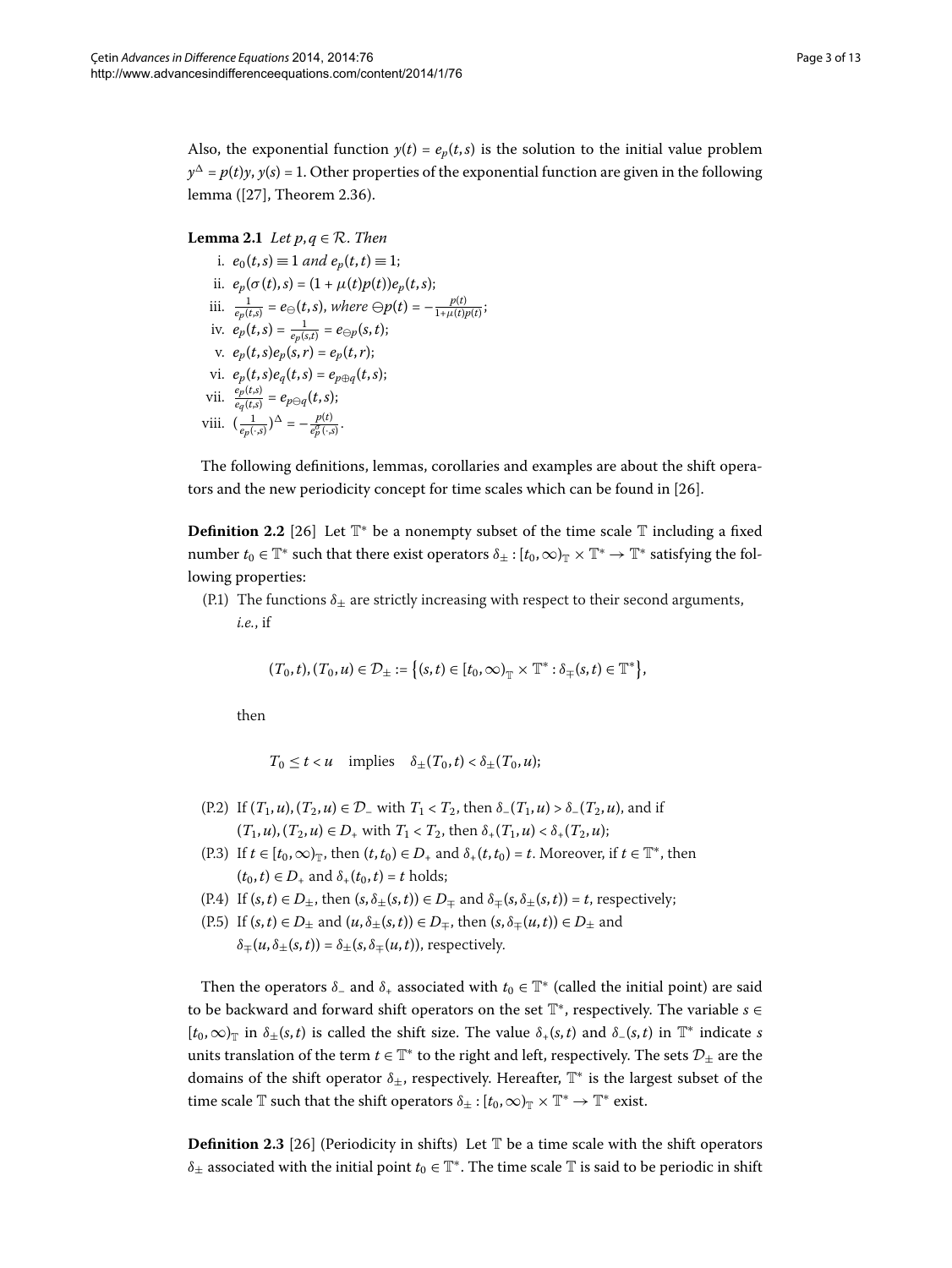<span id="page-2-2"></span>Also, the exponential function  $y(t) = e_p(t, s)$  is the solution to the initial value problem  $y^{\Delta} = p(t)y$ ,  $y(s) = 1$ . Other properties of the exponential function are given in the following lemma  $([27],$  $([27],$  $([27],$  Theorem 2.36).

**Lemma 2.1** *Let*  $p, q \in \mathcal{R}$ *. Then* 

i. *e*<sub>0</sub>(*t*,*s*) ≡ 1 *and e*<sub>*n*</sub>(*t*,*t*) ≡ 1; ii.  $e_p(\sigma(t), s) = (1 + \mu(t)p(t))e_p(t, s);$ *i*ii.  $\frac{1}{e_p(t,s)} = e_{\ominus}(t,s)$ , where  $\ominus p(t) = -\frac{p(t)}{1+\mu(t)p(t)}$ ; iv.  $e_p(t,s) = \frac{1}{e_p(s,t)} = e_{\ominus p}(s,t);$ v.  $e_p(t,s)e_p(s,r) = e_p(t,r);$ vi.  $e_p(t, s)e_q(t, s) = e_{p \oplus q}(t, s);$ vii.  $\frac{e_p(t,s)}{e_q(t,s)} = e_{p\ominus q}(t,s);$ viii.  $\left(\frac{1}{e_p(\cdot,s)}\right)^{\Delta} = -\frac{p(t)}{e_p^{\sigma}(\cdot,s)}$ .

<span id="page-2-1"></span>The following definitions, lemmas, corollaries and examples are about the shift operators and the new periodicity concept for time scales which can be found in  $[26]$ .

**Definition 2.2** [26] Let  $\mathbb{T}^*$  be a nonempty subset of the time scale  $\mathbb{T}$  including a fixed number  $t_0 \in \mathbb{T}^*$  such that there exist operators  $\delta_{\pm} : [t_0, \infty)_{\mathbb{T}} \times \mathbb{T}^* \to \mathbb{T}^*$  satisfying the following properties:

(P.1) The functions  $\delta_{\pm}$  are strictly increasing with respect to their second arguments, *i.e.*, if

$$
(T_0,t),(T_0,u)\in\mathcal{D}_{\pm}:=\big\{(s,t)\in[t_0,\infty)_{\mathbb{T}}\times\mathbb{T}^*:\delta_{\mp}(s,t)\in\mathbb{T}^*\big\},\
$$

then

$$
T_0 \leq t < u \quad \text{implies} \quad \delta_{\pm}(T_0, t) < \delta_{\pm}(T_0, u);
$$

- (P.2) If  $(T_1, u), (T_2, u) \in \mathcal{D}$  with  $T_1 < T_2$ , then  $\delta_-(T_1, u) > \delta_-(T_2, u)$ , and if  $(T_1, u)$ ,  $(T_2, u) \in D_+$  with  $T_1 < T_2$ , then  $\delta_+(T_1, u) < \delta_+(T_2, u)$ ;
- (P.3) If  $t \in [t_0, \infty)$ <sub>T</sub>, then  $(t, t_0) \in D_+$  and  $\delta_+(t, t_0) = t$ . Moreover, if  $t \in \mathbb{T}^*$ , then  $(t_0, t) \in D_+$  and  $\delta_+(t_0, t) = t$  holds;
- (P.4) If  $(s, t) \in D_{\pm}$ , then  $(s, \delta_{\pm}(s, t)) \in D_{\mp}$  and  $\delta_{\mp}(s, \delta_{\pm}(s, t)) = t$ , respectively;
- (P.5) If  $(s, t) \in D_{\pm}$  and  $(u, \delta_{\pm}(s, t)) \in D_{\mp}$ , then  $(s, \delta_{\mp}(u, t)) \in D_{\pm}$  and  $\delta_{\mp}(u, \delta_{\pm}(s,t)) = \delta_{\pm}(s, \delta_{\mp}(u,t))$ , respectively.

<span id="page-2-0"></span>Then the operators  $\delta$ <sub>–</sub> and  $\delta$ <sub>+</sub> associated with  $t_0 \in \mathbb{T}^*$  (called the initial point) are said to be backward and forward shift operators on the set <sup>T</sup>∗, respectively. The variable *<sup>s</sup>* <sup>∈</sup>  $[t_0, \infty)$ <sub>T</sub> in  $\delta_{\pm}(s,t)$  is called the shift size. The value  $\delta_{+}(s,t)$  and  $\delta_{-}(s,t)$  in  $\mathbb{T}^*$  indicate *s* units translation of the term  $t \in \mathbb{T}^*$  to the right and left, respectively. The sets  $\mathcal{D}_\pm$  are the domains of the shift operator *<sup>δ</sup>*±, respectively. Hereafter, <sup>T</sup><sup>∗</sup> is the largest subset of the time scale  $\mathbb T$  such that the shift operators  $\delta_\pm:[t_0,\infty)_\mathbb T\times\mathbb T^*\to\mathbb T^*$  exist.

**Definition 2.3** [26] (Periodicity in shifts) Let  $\mathbb{T}$  be a time scale with the shift operators  $\delta_{\pm}$  associated with the initial point  $t_0 \in \mathbb{T}^*$ . The time scale  $\mathbb T$  is said to be periodic in shift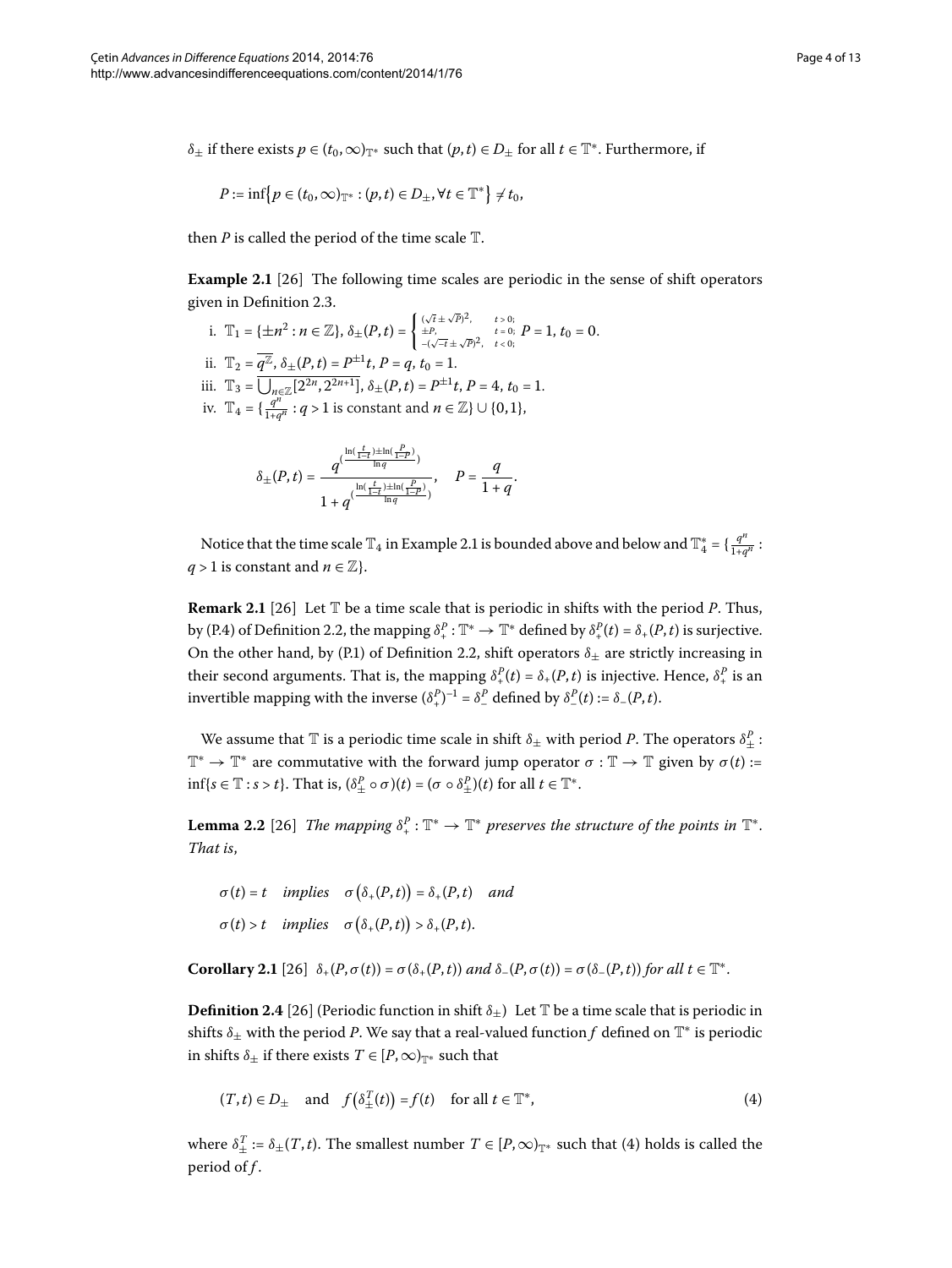<span id="page-3-0"></span> $\delta_{\pm}$  if there exists  $p \in (t_0, \infty)_{\mathbb{T}^*}$  such that  $(p, t) \in D_{\pm}$  for all  $t \in \mathbb{T}^*$ . Furthermore, if

$$
P:=\inf\bigl\{p\in(t_0,\infty)_{\mathbb{T}^*}:(p,t)\in D_\pm,\forall t\in\mathbb{T}^*\bigr\}\neq t_0,
$$

then  $P$  is called the period of the time scale  $T$ .

**Example 2.1** [26] The following time scales are periodic in the sense of shift operators given in Definition 2[.](#page-2-0)3.

i.  $\mathbb{T}_1 = {\pm n^2 : n \in \mathbb{Z}}, \delta_{\pm}(P,t) = \begin{cases} (\sqrt{t} \pm \sqrt{p})^2, & t > 0; \\ \pm P, & t = 0; \\ (\sqrt{t} \pm \sqrt{p})^2, & t > 0; \end{cases}$  $\pm P$ ,  $t = 0$ ;  $P = 1$ ,  $t_0 = 0$ .<br> $-(\sqrt{-t} \pm \sqrt{P})^2$ ,  $t < 0$ ; ii.  $\mathbb{T}_2 = \overline{q^{\mathbb{Z}}}$ ,  $\delta_{\pm}(P, t) = P^{\pm 1}t$ ,  $P = q$ ,  $t_0 = 1$ . iii.  $\mathbb{T}_3 = \overline{\bigcup_{n \in \mathbb{Z}} [2^{2n}, 2^{2n+1}]}, \delta_{\pm}(P, t) = P^{\pm 1}t, P = 4, t_0 = 1.$ iv.  $\mathbb{T}_4 = \{ \frac{q^n}{1 + q^n} : q > 1 \text{ is constant and } n \in \mathbb{Z} \} \cup \{0, 1\},$ 

$$
\delta_{\pm}(P,t)=\frac{q^{(\frac{\ln(\frac{t}{1-t})\pm\ln(\frac{P}{1-P})}{\ln q})}}{1+q^{(\frac{\ln(\frac{t}{1-t})\pm\ln(\frac{P}{1-P})}{\ln q})}},\quad P=\frac{q}{1+q}.
$$

Notice that the time scale  $\mathbb{T}_4$  in Example 2[.](#page-3-0)1 is bounded above and below and  $\mathbb{T}_4^* = \{\frac{q^n}{1+q^n} :$ *q* > 1 is constant and *n*  $\in \mathbb{Z}$ .

**Remark 2.1** [26] Let T be a time scale that is periodic in shifts with the period P. Thus, by (P.4) of Definition 2.2, the mapping  $\delta_+^P : \mathbb{T}^* \to \mathbb{T}^*$  defined by  $\delta_+^P(t) = \delta_+(P,t)$  is surjective. On the other hand, by (P[.](#page-2-1)1) of Definition 2.2, shift operators  $\delta_{\pm}$  are strictly increasing in their second arguments. That is, the mapping  $\delta_+^P(t) = \delta_+(P,t)$  is injective. Hence,  $\delta_+^P$  is an invertible mapping with the inverse  $(\delta_+^P)^{-1} = \delta_-^P$  defined by  $\delta_-^P(t) := \delta_-(P,t)$ .

We assume that  $\mathbb T$  is a periodic time scale in shift  $\delta_\pm$  with period *P*. The operators  $\delta_\pm^P$  :  $\mathbb{T}^*$  →  $\mathbb{T}^*$  are commutative with the forward jump operator *σ* :  $\mathbb{T}$  →  $\mathbb{T}$  given by *σ*(*t*) :=  $\inf\{s \in \mathbb{T} : s > t\}$ . That is,  $(\delta_{\pm}^P \circ \sigma)(t) = (\sigma \circ \delta_{\pm}^P)(t)$  for all  $t \in \mathbb{T}^*$ .

**Lemma 2.2** [26] *The mapping*  $\delta_+^P : \mathbb{T}^* \to \mathbb{T}^*$  *preserves the structure of the points in*  $\mathbb{T}^*$ . *That is*,

<span id="page-3-2"></span><span id="page-3-1"></span>
$$
\sigma(t) = t \quad implies \quad \sigma(\delta_+(P,t)) = \delta_+(P,t) \quad and
$$
  

$$
\sigma(t) > t \quad implies \quad \sigma(\delta_+(P,t)) > \delta_+(P,t).
$$

**Corollary 2.1** [26]  $\delta_+(P, \sigma(t)) = \sigma(\delta_+(P,t))$  *and*  $\delta_-(P, \sigma(t)) = \sigma(\delta_-(P,t))$  *for all*  $t \in \mathbb{T}^*$ .

**Definition 2.4** [26] (Periodic function in shift  $\delta_{\pm}$ ) Let T be a time scale that is periodic in shifts  $\delta_{\pm}$  with the period *P*. We say that a real-valued function *f* defined on  $\mathbb{T}^*$  is periodic in shifts  $\delta_{\pm}$  if there exists  $T \in [P, \infty)_{\mathbb{T}^*}$  such that

$$
(T, t) \in D_{\pm} \quad \text{and} \quad f\big(\delta_{\pm}^{T}(t)\big) = f(t) \quad \text{for all } t \in \mathbb{T}^{*},
$$

where  $\delta_{\pm}^T := \delta_{\pm}(T,t)$ . The smallest number  $T \in [P,\infty)_{\mathbb{T}^*}$  such that (4) holds is called the period of *f*.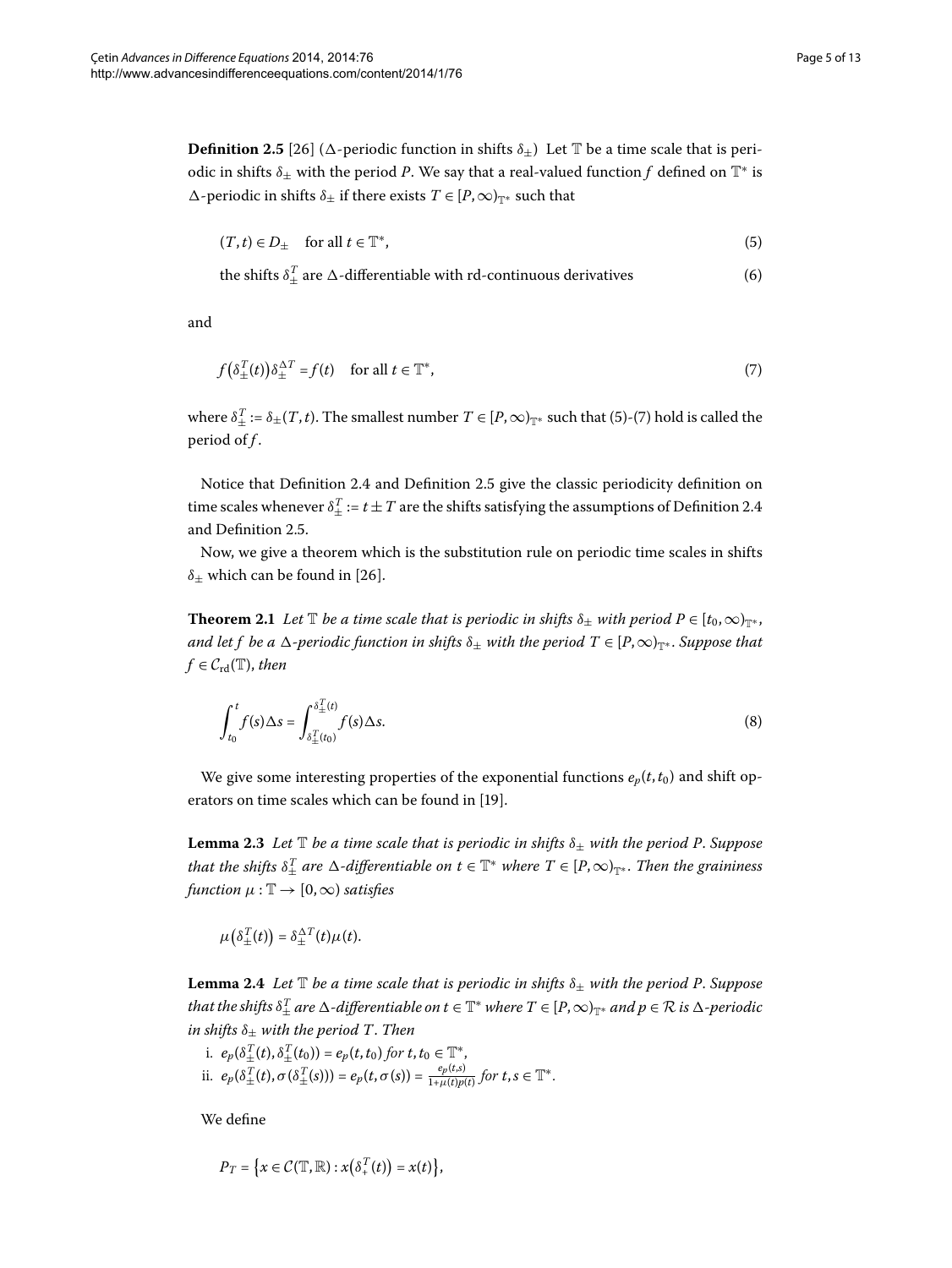<span id="page-4-2"></span>**Definition 2.5** [26[\]](#page-12-3) ( $\Delta$ -periodic function in shifts  $\delta$ +) Let T be a time scale that is periodic in shifts  $\delta_+$  with the period *P*. We say that a real-valued function *f* defined on  $\mathbb{T}^*$  is  $\Delta$ -periodic in shifts  $\delta_{\pm}$  if there exists  $T \in [P, \infty)_{\mathbb{T}^*}$  such that

<span id="page-4-1"></span><span id="page-4-0"></span>
$$
(T, t) \in D_{\pm} \quad \text{for all } t \in \mathbb{T}^*,\tag{5}
$$

the shifts 
$$
\delta_{\pm}^{T}
$$
 are  $\Delta$ -differentiable with rd-continuous derivatives (6)

and

$$
f\left(\delta_{\pm}^T(t)\right)\delta_{\pm}^{\Delta T} = f(t) \quad \text{for all } t \in \mathbb{T}^*,\tag{7}
$$

where  $\delta_{\pm}^T := \delta_{\pm}(T,t)$  $\delta_{\pm}^T := \delta_{\pm}(T,t)$ . The smallest number  $T \in [P,\infty)_{\mathbb{T}^*}$  such that (5)-(7) hold is called the period of *f* .

<span id="page-4-3"></span>Notice that Definition 2[.](#page-4-2)4 and Definition 2.5 give the classic periodicity definition on time scales whenever  $\delta_{\pm}^T := t \pm T$  are the shifts satisfying the assumptions of Definition 2[.](#page-3-2)4 and Definition 2.5.

Now, we give a theorem which is the substitution rule on periodic time scales in shifts  $\delta_{\pm}$  which can be found in [26].

**Theorem 2.1** Let  $\mathbb{T}$  *be a time scale that is periodic in shifts*  $\delta_{\pm}$  *with period*  $P \in [t_0, \infty)_{\mathbb{T}^*}$ , *and let f be a*  $\Delta$ -periodic function in shifts  $\delta_{\pm}$  with the period  $T \in [P, \infty)_{\mathbb{T}^*}$ . Suppose that  $f \in C_{\rm rd}(\mathbb{T})$ , then

$$
\int_{t_0}^t f(s) \Delta s = \int_{\delta_{\pm}^T(t_0)}^{\delta_{\pm}^T(t)} f(s) \Delta s. \tag{8}
$$

We give some interesting properties of the exponential functions  $e_p(t, t_0)$  and shift op-erators on time scales which can be found in [\[](#page-11-15)19].

**Lemma 2.3** Let  $\mathbb{T}$  be a time scale that is periodic in shifts  $\delta_{\pm}$  with the period P. Suppose that the shifts  $\delta^T_\pm$  are  $\Delta$ -differentiable on  $t \in \mathbb{T}^*$  where  $T \in [P,\infty)_{\mathbb{T}^*}.$  Then the graininess *function*  $\mu : \mathbb{T} \to [0, \infty)$  *satisfies* 

$$
\mu\big(\delta^T_\pm(t)\big)=\delta^{\Delta T}_\pm(t)\mu(t).
$$

**Lemma 2.4** Let  $\mathbb{T}$  be a time scale that is periodic in shifts  $\delta_{\pm}$  with the period P. Suppose *that the shifts*  $\delta^T_\pm$  *are*  $\Delta$ -differentiable on  $t \in \mathbb{T}^*$  where  $T \in [P, \infty)_{\mathbb{T}^*}$  and  $p \in \mathcal{R}$  is  $\Delta$ -periodic *in shifts δ*<sup>±</sup> *with the period T*. *Then*

i.  $e_p(\delta_{\pm}^T(t), \delta_{\pm}^T(t_0)) = e_p(t, t_0)$  for  $t, t_0 \in \mathbb{T}^*$ , ii.  $e_p(\delta^T_{\pm}(t), \sigma(\delta^T_{\pm}(s))) = e_p(t, \sigma(s)) = \frac{e_p(t,s)}{1 + \mu(t)p(t)}$  for  $t, s \in \mathbb{T}^*$ .

We define

$$
P_T = \left\{ x \in C(\mathbb{T}, \mathbb{R}) : x(\delta_+^T(t)) = x(t) \right\},\
$$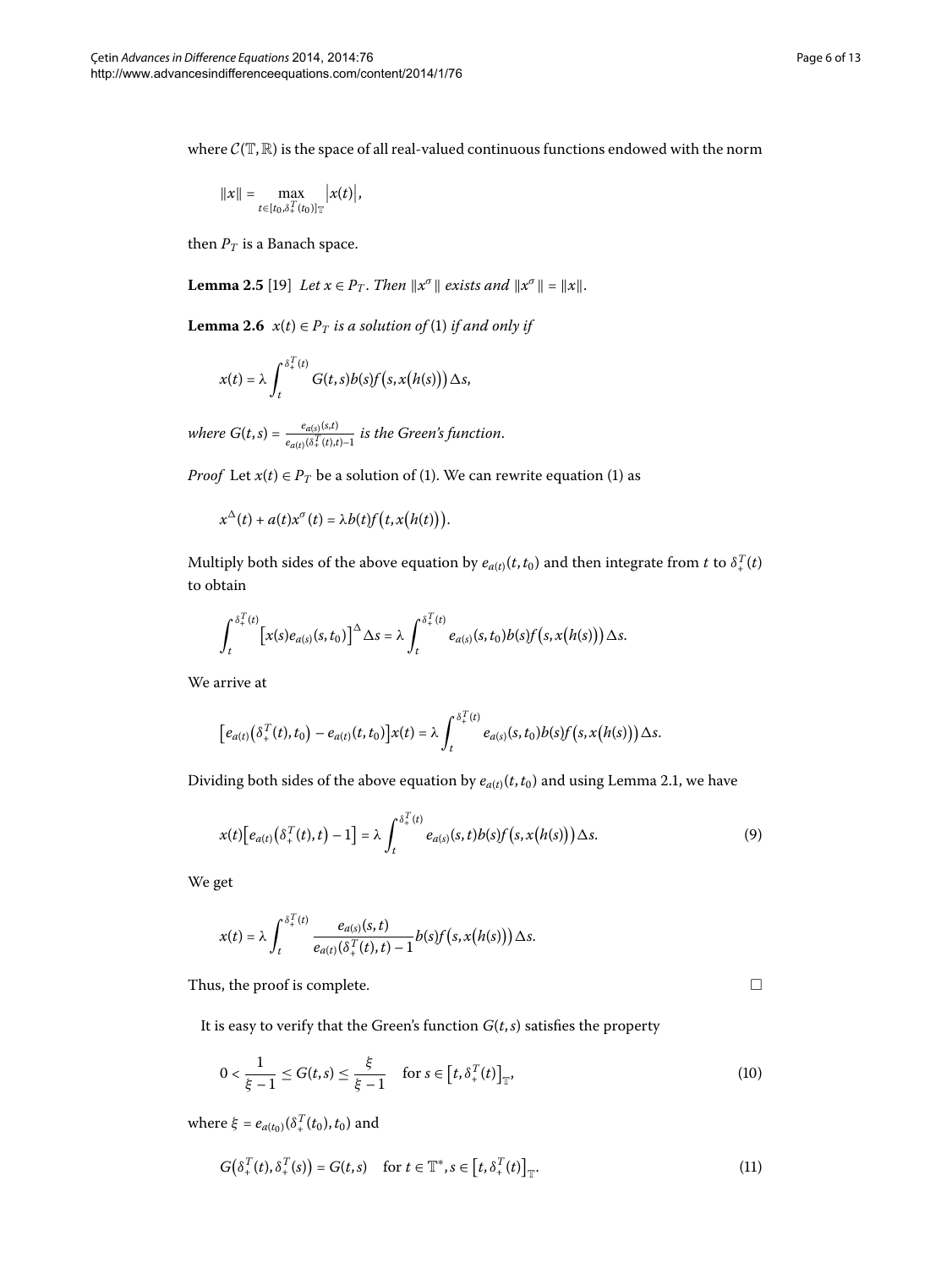where  $C(\mathbb{T},\mathbb{R})$  is the space of all real-valued continuous functions endowed with the norm

$$
||x|| = \max_{t \in [t_0, \delta_+^T(t_0)]_T} |x(t)|,
$$

then  $P_T$  is a Banach space.

**Lemma 2.5** [19[\]](#page-11-15) *Let*  $x \in P_T$ *. Then*  $||x^{\sigma}||$  *exists and*  $||x^{\sigma}|| = ||x||$ *.* 

**Lemma 2.6**  $x(t) \in P_T$  $x(t) \in P_T$  $x(t) \in P_T$  *is a solution of* (1) *if and only if* 

$$
x(t) = \lambda \int_{t}^{\delta_{+}^{T}(t)} G(t,s) b(s) f(s, x(h(s))) \Delta s,
$$

*where G*(*t*, *s*) =  $\frac{e_{a(s)}(s,t)}{e_{a(t)}(\delta^T_+(t),t)-1}$  *is the Green's function*.

*Proof* Let  $x(t) \in P_T$  $x(t) \in P_T$  $x(t) \in P_T$  be a solution of [\(](#page-1-0)1). We can rewrite equation (1) as

$$
x^{\Delta}(t) + a(t)x^{\sigma}(t) = \lambda b(t)f(t,x(h(t))).
$$

Multiply both sides of the above equation by  $e_{a(t)}(t,t_0)$  and then integrate from  $t$  to  $\delta_+^T(t)$ to obtain

$$
\int_t^{\delta_+^T(t)} \big[x(s)e_{a(s)}(s,t_0)\big]^{\Delta} \Delta s = \lambda \int_t^{\delta_+^T(t)} e_{a(s)}(s,t_0)b(s)f(s,x(h(s))) \Delta s.
$$

We arrive at

$$
[e_{a(t)}(\delta_+^T(t),t_0)-e_{a(t)}(t,t_0)]x(t)=\lambda\int_t^{\delta_+^T(t)}e_{a(s)}(s,t_0)b(s)f(s,x(h(s)))\Delta s.
$$

Dividing both sides of the above equation by  $e_{a(t)}(t,t_0)$  and using Lemma 2.1, we have

$$
x(t)\big[e_{a(t)}\big(\delta_+^T(t),t\big)-1\big]=\lambda\int_t^{\delta_+^T(t)}e_{a(s)}(s,t)b(s)f\big(s,x\big(h(s)\big)\big)\Delta s. \hspace{1cm} (9)
$$

We get

$$
x(t) = \lambda \int_{t}^{\delta_{+}^{T}(t)} \frac{e_{a(s)}(s,t)}{e_{a(t)}(\delta_{+}^{T}(t),t) - 1} b(s) f(s,x(h(s))) \Delta s.
$$

Thus, the proof is complete.

It is easy to verify that the Green's function  $G(t, s)$  satisfies the property

$$
0 < \frac{1}{\xi - 1} \le G(t, s) \le \frac{\xi}{\xi - 1} \quad \text{for } s \in \left[t, \delta_+^T(t)\right]_{\mathbb{T}},\tag{10}
$$

where  $\xi = e_{a(t_0)}(\delta_+^T(t_0), t_0)$  and

$$
G\big(\delta_+^T(t),\delta_+^T(s)\big) = G(t,s) \quad \text{for } t \in \mathbb{T}^*, s \in \big[t,\delta_+^T(t)\big]_{\mathbb{T}}.\tag{11}
$$

 $\Box$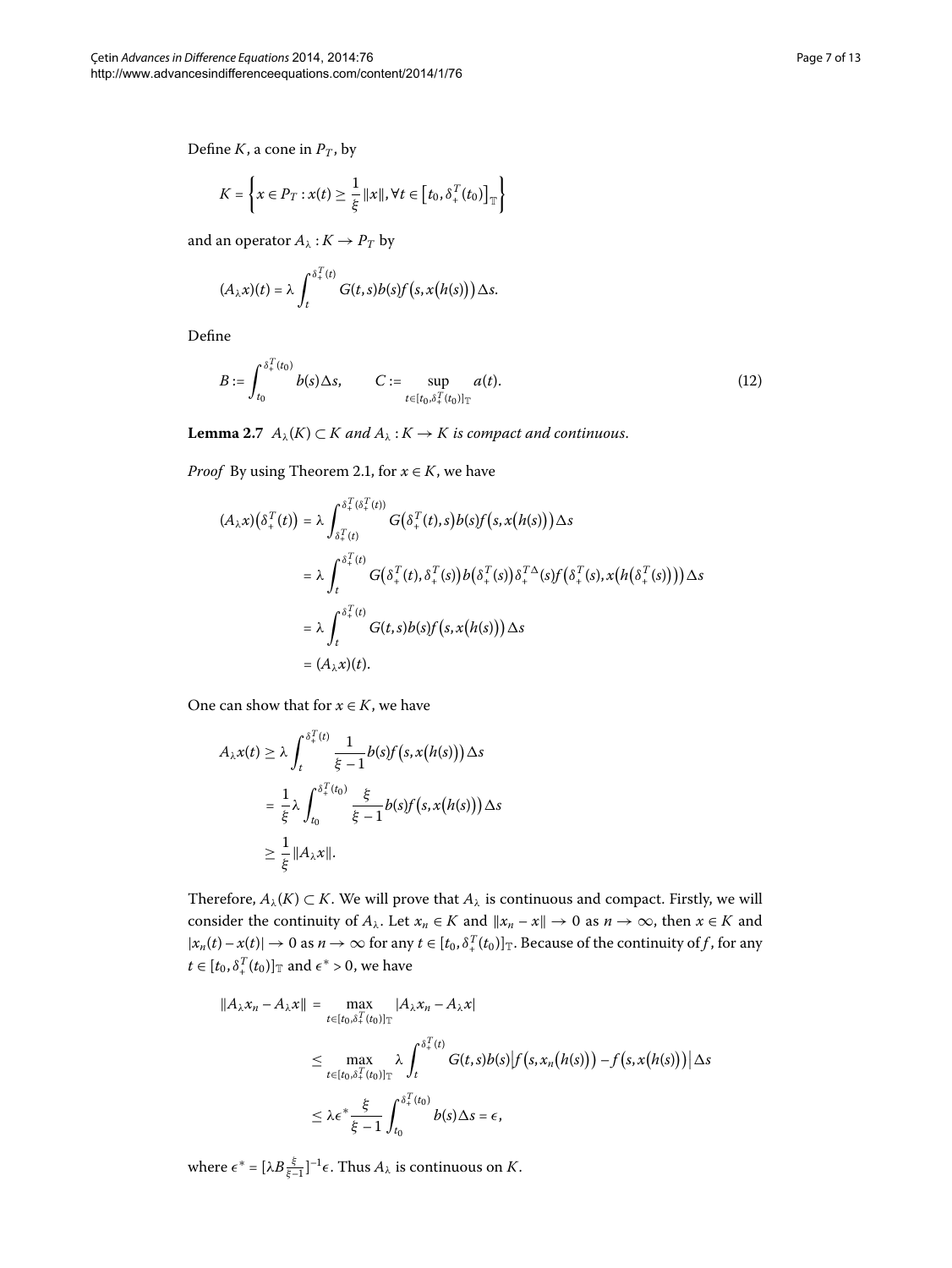Define *K*, a cone in  $P_T$ , by

$$
K = \left\{ x \in P_T : x(t) \ge \frac{1}{\xi} ||x||, \forall t \in \left[ t_0, \delta_+^T(t_0) \right]_{\mathbb{T}} \right\}
$$

and an operator  $A_\lambda : K \to P_T$  by

$$
(A_\lambda x)(t) = \lambda \int_t^{\delta_+^T(t)} G(t,s) b(s) f(s, x(h(s))) \Delta s.
$$

Define

$$
B := \int_{t_0}^{\delta_+^{T}(t_0)} b(s) \Delta s, \qquad C := \sup_{t \in [t_0, \delta_+^{T}(t_0)]_{\mathbb{T}}} a(t).
$$
 (12)

**Lemma 2.7**  $A_\lambda(K) \subset K$  and  $A_\lambda: K \to K$  is compact and continuous.

*Proof* By using Theorem 2[.](#page-4-3)1, for  $x \in K$ , we have

$$
(A_{\lambda}x)(\delta_{+}^{T}(t)) = \lambda \int_{\delta_{+}^{T}(t)}^{\delta_{+}^{T}(s_{+}^{T}(t))} G(\delta_{+}^{T}(t), s) b(s) f(s, x(h(s))) \Delta s
$$
  

$$
= \lambda \int_{t}^{\delta_{+}^{T}(t)} G(\delta_{+}^{T}(t), \delta_{+}^{T}(s)) b(\delta_{+}^{T}(s)) \delta_{+}^{T\Delta}(s) f(\delta_{+}^{T}(s), x(h(\delta_{+}^{T}(s)))) \Delta s
$$
  

$$
= \lambda \int_{t}^{\delta_{+}^{T}(t)} G(t, s) b(s) f(s, x(h(s))) \Delta s
$$
  

$$
= (A_{\lambda}x)(t).
$$

One can show that for  $x \in K$ , we have

$$
A_{\lambda}x(t) \geq \lambda \int_{t}^{\delta_{+}^{T}(t)} \frac{1}{\xi - 1} b(s) f(s, x(h(s))) \Delta s
$$
  

$$
= \frac{1}{\xi} \lambda \int_{t_{0}}^{\delta_{+}^{T}(t_{0})} \frac{\xi}{\xi - 1} b(s) f(s, x(h(s))) \Delta s
$$
  

$$
\geq \frac{1}{\xi} ||A_{\lambda}x||.
$$

Therefore,  $A_\lambda(K) \subset K$ . We will prove that  $A_\lambda$  is continuous and compact. Firstly, we will consider the continuity of  $A_\lambda$ . Let  $x_n \in K$  and  $||x_n - x|| \to 0$  as  $n \to \infty$ , then  $x \in K$  and  $|x_n(t) - x(t)| \to 0$  as  $n \to \infty$  for any  $t \in [t_0, \delta_+^T(t_0)]$  . Because of the continuity of *f*, for any  $t \in [t_0, \delta_+^T(t_0)]_{\mathbb{T}}$  and  $\epsilon^* > 0$ , we have

$$
||A_{\lambda}x_{n}-A_{\lambda}x|| = \max_{t \in [t_0, \delta_{+}^{T}(t_0)]_{\mathbb{T}}} |A_{\lambda}x_{n}-A_{\lambda}x|
$$
  
\n
$$
\leq \max_{t \in [t_0, \delta_{+}^{T}(t_0)]_{\mathbb{T}}} \lambda \int_{t}^{\delta_{+}^{T}(t)} G(t,s)b(s) |f(s,x_{n}(h(s))) - f(s,x(h(s)))|\Delta s
$$
  
\n
$$
\leq \lambda \epsilon^{*} \frac{\xi}{\xi - 1} \int_{t_0}^{\delta_{+}^{T}(t_0)} b(s) \Delta s = \epsilon,
$$

where  $\epsilon^* = [\lambda B \frac{\xi}{\xi - 1}]^{-1} \epsilon$ . Thus  $A_{\lambda}$  is continuous on  $K$ .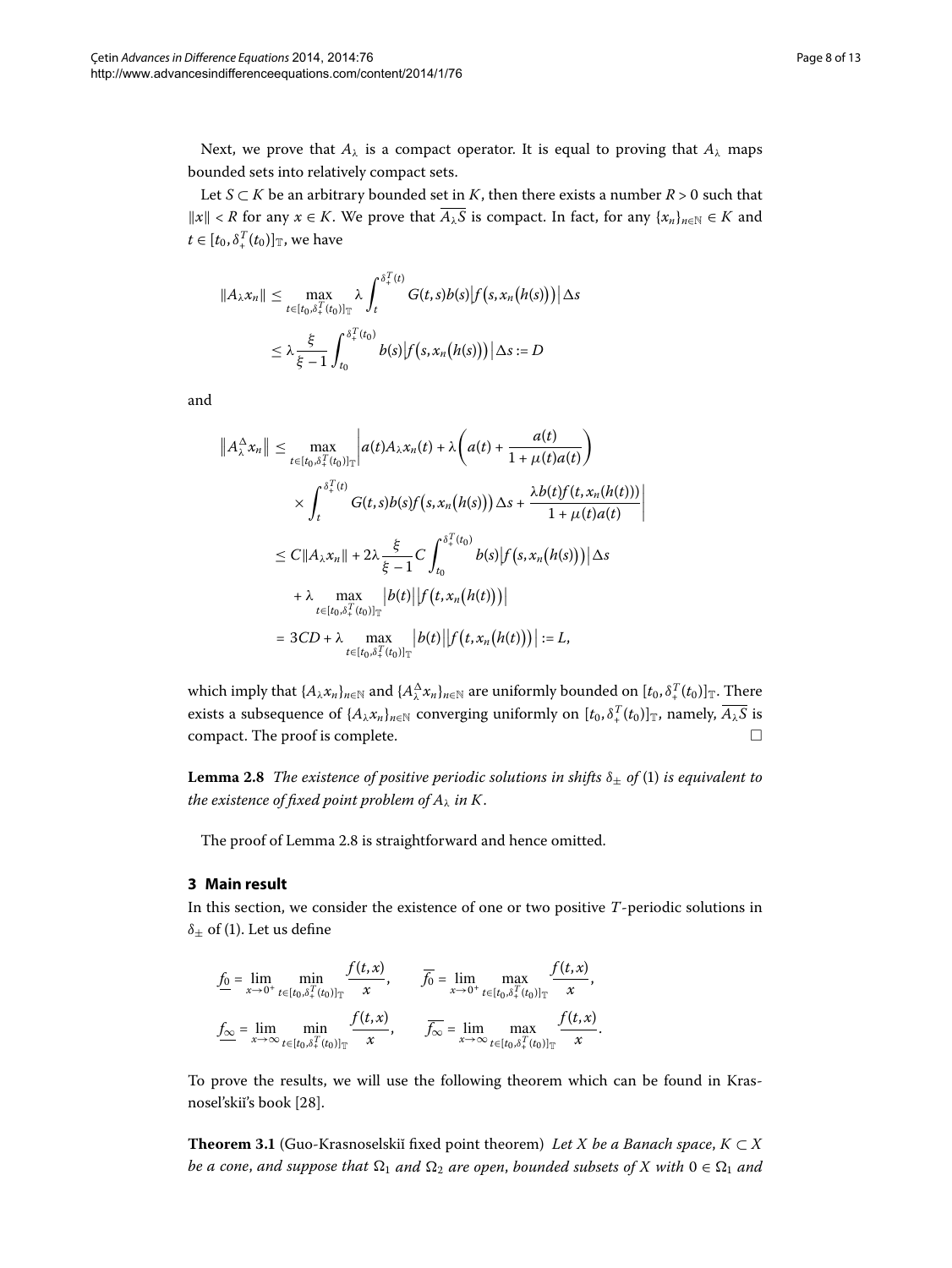Next, we prove that  $A_\lambda$  is a compact operator. It is equal to proving that  $A_\lambda$  maps bounded sets into relatively compact sets.

Let *S*  $\subset$  *K* be an arbitrary bounded set in *K*, then there exists a number *R* > 0 such that  $||x|| < R$  for any *x* ∈ *K*. We prove that  $\overline{A_{\lambda}S}$  is compact. In fact, for any {*x<sub>n</sub>*}<sub>*n*∈N</sub> ∈ *K* and  $t \in [t_0, \delta_+^T(t_0)]_{\mathbb{T}}$ , we have

$$
||A_{\lambda}x_n|| \leq \max_{t \in [t_0, \delta_+^T(t_0)]_T} \lambda \int_t^{\delta_+^T(t)} G(t,s)b(s) |f(s,x_n(h(s))) \Delta s
$$
  

$$
\leq \lambda \frac{\xi}{\xi - 1} \int_{t_0}^{\delta_+^T(t_0)} b(s) |f(s,x_n(h(s))) \Delta s := D
$$

and

$$
||A_{\lambda}^{\Delta}x_{n}|| \leq \max_{t \in [t_{0},\delta_{+}^{T}(t_{0})]_{\mathbb{T}}} \left| a(t)A_{\lambda}x_{n}(t) + \lambda \left( a(t) + \frac{a(t)}{1 + \mu(t)a(t)} \right) \right|
$$
  

$$
\times \int_{t}^{\delta_{+}^{T}(t)} G(t,s)b(s)f(s,x_{n}(h(s))) \Delta s + \frac{\lambda b(t)f(t,x_{n}(h(t)))}{1 + \mu(t)a(t)} \right|
$$
  

$$
\leq C||A_{\lambda}x_{n}|| + 2\lambda \frac{\xi}{\xi - 1}C \int_{t_{0}}^{\delta_{+}^{T}(t_{0})} b(s)|f(s,x_{n}(h(s)))|\Delta s|
$$
  

$$
+ \lambda \max_{t \in [t_{0},\delta_{+}^{T}(t_{0})]_{\mathbb{T}}} |b(t)||f(t,x_{n}(h(t)))|
$$
  

$$
= 3CD + \lambda \max_{t \in [t_{0},\delta_{+}^{T}(t_{0})]_{\mathbb{T}}} |b(t)||f(t,x_{n}(h(t)))| := L,
$$

<span id="page-7-1"></span>which imply that  $\{A_\lambda x_n\}_{n\in\mathbb{N}}$  and  $\{A_\lambda^{\Delta} x_n\}_{n\in\mathbb{N}}$  are uniformly bounded on  $[t_0,\delta_+^T(t_0)]_T$ . There exists a subsequence of  $\{A_\lambda x_n\}_{n\in\mathbb{N}}$  converging uniformly on  $[t_0, \delta_+^T(t_0)]_\mathbb{T}$ , namely,  $\overline{A_\lambda S}$  is compact. The proof is complete.  $\Box$ 

<span id="page-7-0"></span>**Lemma 2.8** *The existence of positive periodic solutions in shifts*  $\delta_{\pm}$  *of* [\(](#page-1-0)1) *is equivalent to the existence of fixed point problem of A<sup>λ</sup> in K*.

The proof of Lemma 2[.](#page-7-1)8 is straightforward and hence omitted.

#### **3 Main result**

In this section, we consider the existence of one or two positive *T*-periodic solutions in  $\delta_{\pm}$  of (1[\)](#page-1-0). Let us define

<span id="page-7-2"></span>
$$
\underline{f_0} = \lim_{x \to 0^+} \min_{t \in [t_0, \delta_+^T(t_0)]_T} \frac{f(t, x)}{x}, \qquad \overline{f_0} = \lim_{x \to 0^+} \max_{t \in [t_0, \delta_+^T(t_0)]_T} \frac{f(t, x)}{x},
$$
\n
$$
\underline{f_{\infty}} = \lim_{x \to \infty} \min_{t \in [t_0, \delta_+^T(t_0)]_T} \frac{f(t, x)}{x}, \qquad \overline{f_{\infty}} = \lim_{x \to \infty} \max_{t \in [t_0, \delta_+^T(t_0)]_T} \frac{f(t, x)}{x}.
$$

To prove the results, we will use the following theorem which can be found in Kras-nosel'skiï's book [28[\]](#page-12-5).

**Theorem 3.1** (Guo-Krasnoselskiı̆ fixed point theorem) *Let X be a Banach space*,  $K \subset X$ *be a cone, and suppose that*  $\Omega_1$  *and*  $\Omega_2$  *are open, bounded subsets of* X *with*  $0 \in \Omega_1$  *and*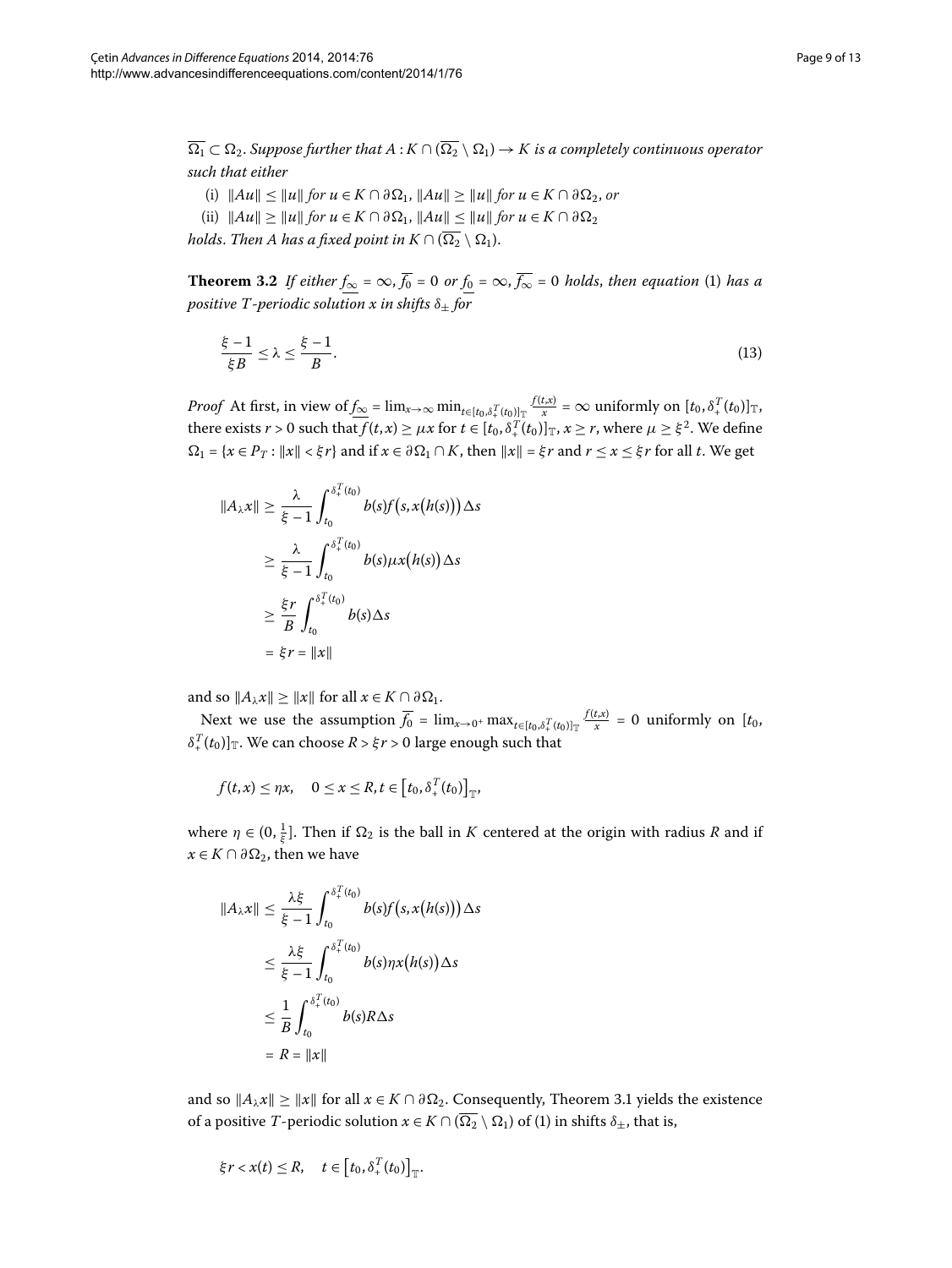<span id="page-8-0"></span> $\overline{\Omega_1} \subset \Omega_2$ . *Suppose further that*  $A: K \cap (\overline{\Omega_2} \setminus \Omega_1) \to K$  is a completely continuous operator *such that either*

- (i)  $||Au|| \le ||u||$  *for*  $u \in K \cap \partial \Omega_1$ ,  $||Au|| \ge ||u||$  *for*  $u \in K \cap \partial \Omega_2$ , *or*
- (ii)  $||Au|| \ge ||u||$  *for*  $u \in K \cap \partial \Omega_1$ ,  $||Au|| \le ||u||$  *for*  $u \in K \cap \partial \Omega_2$

*holds. Then A has a fixed point in*  $K \cap (\overline{\Omega_2} \setminus \Omega_1)$ .

**Theorem 3.2** If either  $f_{\infty} = \infty$ ,  $\overline{f_0} = 0$  or  $f_0 = \infty$ ,  $\overline{f_{\infty}} = 0$  holds, then equation [\(](#page-1-0)1) has a *positive T-periodic solution x in shifts*  $\delta$ + *for* 

$$
\frac{\xi - 1}{\xi B} \le \lambda \le \frac{\xi - 1}{B}.\tag{13}
$$

*Proof* At first, in view of  $\underline{f_{\infty}} = \lim_{x \to \infty} \min_{t \in [t_0, \delta_t^T(t_0)]_T} \frac{f(t, x)}{x} = \infty$  uniformly on  $[t_0, \delta_t^T(t_0)]_T$ , there exists  $r > 0$  such that  $f(t, x) \ge \mu x$  for  $t \in [t_0, \delta_+^T(t_0)]_{\mathbb{T}}, x \ge r$ , where  $\mu \ge \xi^2$ . We define  $\Omega_1 = \{x \in P_T : ||x|| < \xi r\}$  and if  $x \in \partial \Omega_1 \cap K$ , then  $||x|| = \xi r$  and  $r \le x \le \xi r$  for all *t*. We get

$$
||A_{\lambda}x|| \geq \frac{\lambda}{\xi - 1} \int_{t_0}^{s_+^{T}(t_0)} b(s)f(s,x(h(s))) \Delta s
$$
  

$$
\geq \frac{\lambda}{\xi - 1} \int_{t_0}^{s_+^{T}(t_0)} b(s)\mu x(h(s)) \Delta s
$$
  

$$
\geq \frac{\xi r}{B} \int_{t_0}^{s_+^{T}(t_0)} b(s) \Delta s
$$
  

$$
= \xi r = ||x||
$$

and so  $||A_\lambda x|| \ge ||x||$  for all  $x \in K \cap \partial \Omega_1$ .

Next we use the assumption  $\overline{f_0} = \lim_{x \to 0^+} \max_{t \in [t_0, \delta_t^T(t_0)]_T} \frac{f(t, x)}{x} = 0$  uniformly on  $[t_0, t_0]$  $\delta_+^T(t_0)$ ]<sub>T</sub>. We can choose  $R > \xi r > 0$  large enough such that

$$
f(t,x) \leq \eta x, \quad 0 \leq x \leq R, t \in [t_0, \delta_+^T(t_0)]_{\mathbb{T}},
$$

where  $\eta \in (0, \frac{1}{\xi}]$ . Then if  $\Omega_2$  is the ball in  $K$  centered at the origin with radius  $R$  and if  $x \in K \cap \partial \Omega_2$ , then we have

$$
||A_{\lambda}x|| \leq \frac{\lambda\xi}{\xi-1} \int_{t_0}^{\delta_{+}^{T}(t_0)} b(s)f(s,x(h(s))) \Delta s
$$
  

$$
\leq \frac{\lambda\xi}{\xi-1} \int_{t_0}^{\delta_{+}^{T}(t_0)} b(s)\eta x(h(s)) \Delta s
$$
  

$$
\leq \frac{1}{B} \int_{t_0}^{\delta_{+}^{T}(t_0)} b(s)R \Delta s
$$
  

$$
= R = ||x||
$$

and so  $||A_\lambda x|| \ge ||x||$  for all  $x \in K \cap \partial \Omega_2$ [.](#page-7-2) Consequently, Theorem 3.1 yields the existence of a positive *T*-periodic solution  $x \in K \cap (\overline{\Omega_2} \setminus \Omega_1)$  $x \in K \cap (\overline{\Omega_2} \setminus \Omega_1)$  of (1) in shifts  $\delta_{\pm}$ , that is,

$$
\xi r < x(t) \leq R, \quad t \in \left[ t_0, \delta_+^T(t_0) \right]_{\mathbb{T}}.
$$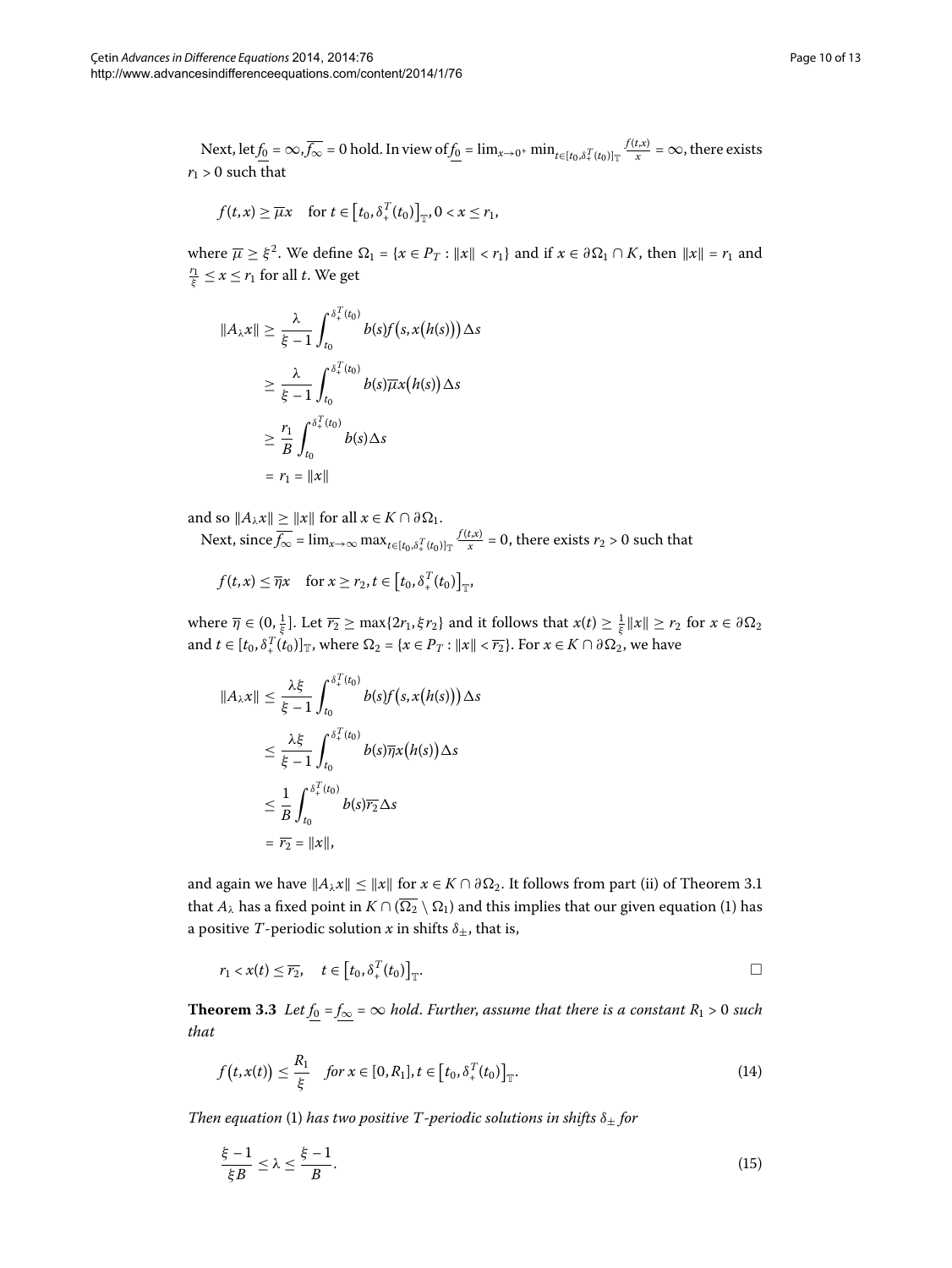Next, let  $\underline{f_0} = \infty$ ,  $\overline{f_{\infty}} = 0$  hold. In view of  $\underline{f_0} = \lim_{x \to 0^+} \min_{t \in [t_0, \delta_t^T(t_0)]_T} \frac{f(t, x)}{x} = \infty$ , there exists  $r_1 > 0$  such that

$$
f(t,x) \geq \overline{\mu}x \quad \text{for } t \in [t_0, \delta_+^T(t_0)]_{\mathbb{T}}, 0 < x \leq r_1,
$$

where  $\overline{\mu} \geq \xi^2$ . We define  $\Omega_1 = \{x \in P_T : ||x|| < r_1\}$  and if  $x \in \partial \Omega_1 \cap K$ , then  $||x|| = r_1$  and  $\frac{r_1}{\xi} \leq x \leq r_1$  for all *t*. We get

$$
||A_{\lambda}x|| \geq \frac{\lambda}{\xi - 1} \int_{t_0}^{\delta_{+}^{T}(t_0)} b(s) f(s, x(h(s))) \Delta s
$$
  

$$
\geq \frac{\lambda}{\xi - 1} \int_{t_0}^{\delta_{+}^{T}(t_0)} b(s) \overline{\mu} x(h(s)) \Delta s
$$
  

$$
\geq \frac{r_1}{B} \int_{t_0}^{\delta_{+}^{T}(t_0)} b(s) \Delta s
$$
  

$$
= r_1 = ||x||
$$

and so  $||A_\lambda x|| \ge ||x||$  for all  $x \in K \cap \partial \Omega_1$ . Next, since  $\overline{f_{\infty}} = \lim_{x \to \infty} \max_{t \in [t_0, \delta_+^T(t_0)]_T} \frac{f(t, x)}{x} = 0$ , there exists  $r_2 > 0$  such that

$$
f(t,x) \leq \overline{\eta}x \quad \text{for } x \geq r_2, t \in [t_0, \delta_+^T(t_0)]_{\mathbb{T}},
$$

where  $\overline{\eta} \in (0, \frac{1}{\xi}]$ . Let  $\overline{r_2} \ge \max\{2r_1, \xi r_2\}$  and it follows that  $x(t) \ge \frac{1}{\xi} \|x\| \ge r_2$  for  $x \in \partial \Omega_2$ and  $t \in [t_0, \delta_+^T(t_0)]_{\mathbb{T}}$ , where  $\Omega_2 = \{x \in P_T : ||x|| < \overline{r_2}\}$ . For  $x \in K \cap \partial \Omega_2$ , we have

$$
||A_{\lambda}x|| \leq \frac{\lambda \xi}{\xi - 1} \int_{t_0}^{\delta_+^T(t_0)} b(s) f(s, x(h(s))) \Delta s
$$
  

$$
\leq \frac{\lambda \xi}{\xi - 1} \int_{t_0}^{\delta_+^T(t_0)} b(s) \overline{\eta} x(h(s)) \Delta s
$$
  

$$
\leq \frac{1}{B} \int_{t_0}^{\delta_+^T(t_0)} b(s) \overline{r_2} \Delta s
$$
  

$$
= \overline{r_2} = ||x||,
$$

<span id="page-9-1"></span>and again we have  $||A_\lambda x|| \le ||x||$  for  $x \in K \cap \partial \Omega_2$ [.](#page-7-2) It follows from part (ii) of Theorem 3.1 that  $A_\lambda$  has a fixed point in  $K \cap (\overline{\Omega_2} \setminus \Omega_1)$  $K \cap (\overline{\Omega_2} \setminus \Omega_1)$  and this implies that our given equation (1) has a positive  $T$  -periodic solution  $x$  in shifts  $\delta_\pm,$  that is,

<span id="page-9-0"></span>
$$
r_1 < x(t) \leq \overline{r_2}, \quad t \in \left[ t_0, \delta_+^T(t_0) \right]_{\mathbb{T}}.
$$

**Theorem 3.3** Let  $f_0 = f_\infty = \infty$  hold. Further, assume that there is a constant  $R_1 > 0$  such *that*

$$
f(t, x(t)) \leq \frac{R_1}{\xi} \quad \text{for } x \in [0, R_1], t \in [t_0, \delta_+^T(t_0)]_{\mathbb{T}}.
$$
 (14)

*Then equation* [\(](#page-1-0)1) *has two positive T-periodic solutions in shifts*  $\delta_{\pm}$  *for* 

$$
\frac{\xi - 1}{\xi B} \le \lambda \le \frac{\xi - 1}{B}.\tag{15}
$$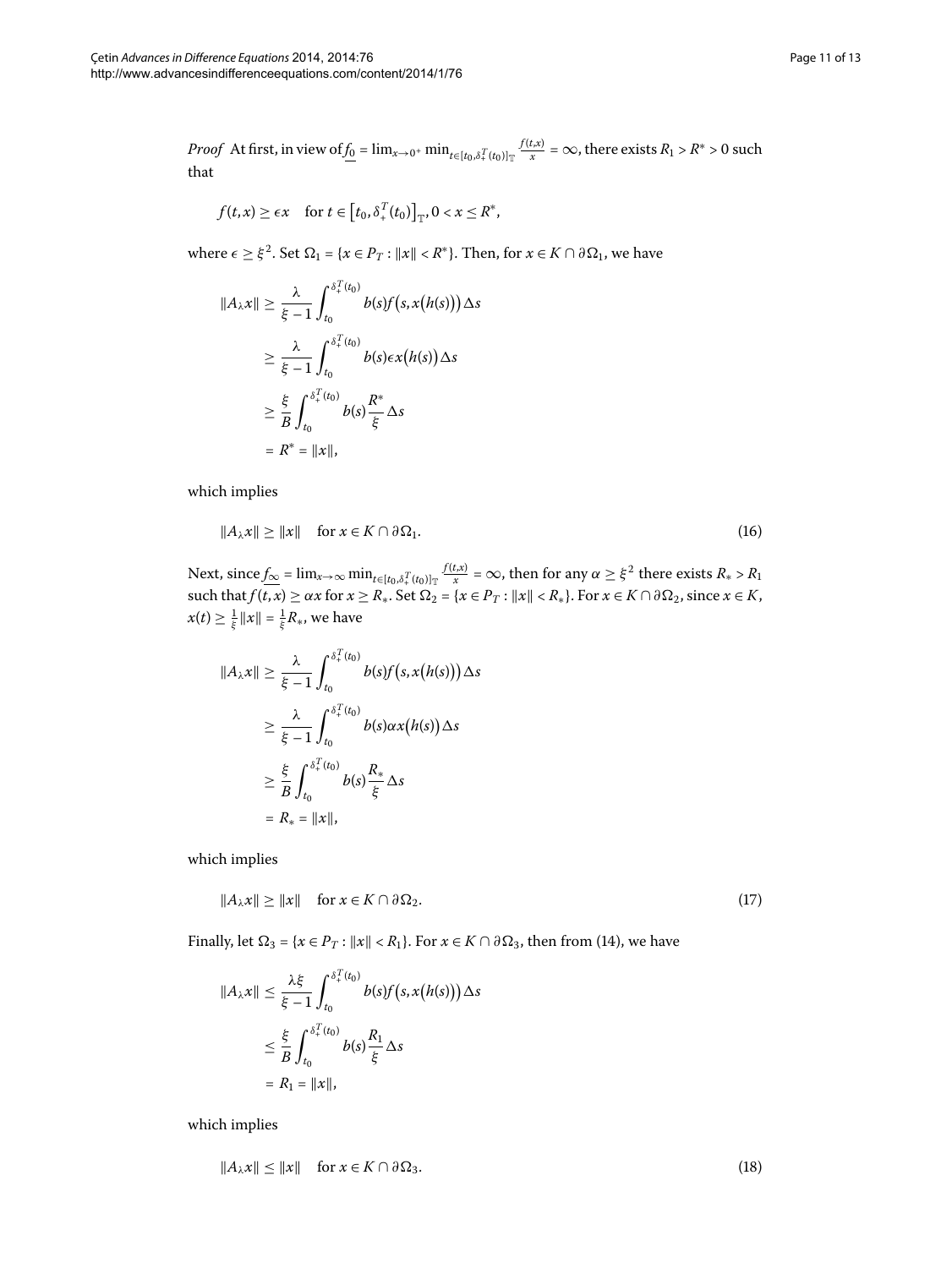*Proof* At first, in view of  $\underline{f_0}$  =  $\lim_{x\to 0^+} \min_{t\in [t_0,\delta_t^T(t_0)]_T} \frac{f(t,x)}{x} = \infty$ , there exists  $R_1 > R^* > 0$  such that

$$
f(t,x) \geq \epsilon x \quad \text{for } t \in [t_0, \delta_+^T(t_0)]_{\mathbb{T}}, 0 < x \leq R^*,
$$

where  $\epsilon \geq \xi^2$ . Set  $\Omega_1 = \{x \in P_T : ||x|| < R^* \}$ . Then, for  $x \in K \cap \partial \Omega_1$ , we have

<span id="page-10-0"></span>
$$
||A_{\lambda}x|| \geq \frac{\lambda}{\xi - 1} \int_{t_0}^{\delta_{+}^{T}(t_0)} b(s) f(s, x(h(s))) \Delta s
$$
  
\n
$$
\geq \frac{\lambda}{\xi - 1} \int_{t_0}^{\delta_{+}^{T}(t_0)} b(s) \epsilon x(h(s)) \Delta s
$$
  
\n
$$
\geq \frac{\xi}{B} \int_{t_0}^{\delta_{+}^{T}(t_0)} b(s) \frac{R^*}{\xi} \Delta s
$$
  
\n
$$
= R^* = ||x||,
$$

which implies

$$
||A_{\lambda}x|| \ge ||x|| \quad \text{for } x \in K \cap \partial \Omega_1. \tag{16}
$$

Next, since  $\underline{f_{\infty}} = \lim_{x \to \infty} \min_{t \in [t_0, \delta_+^T(t_0)]_T} \frac{f(t, x)}{x} = \infty$ , then for any  $\alpha \ge \xi^2$  there exists  $R_* > R_1$  $\int \text{such that } f(t,x) \geq \alpha x \text{ for } x \geq R_*, \text{Set } \Omega_2 = \{x \in P_T : ||x|| < R_*\}. \text{ For } x \in K \cap \partial \Omega_2, \text{ since } x \in K,$  $x(t) \geq \frac{1}{\xi} \|x\| = \frac{1}{\xi} R_*,$  we have

<span id="page-10-1"></span>
$$
||A_{\lambda}x|| \geq \frac{\lambda}{\xi - 1} \int_{t_0}^{\delta_{\tau}^{T}(t_0)} b(s) f(s, x(h(s))) \Delta s
$$
  

$$
\geq \frac{\lambda}{\xi - 1} \int_{t_0}^{\delta_{\tau}^{T}(t_0)} b(s) \alpha x(h(s)) \Delta s
$$
  

$$
\geq \frac{\xi}{B} \int_{t_0}^{\delta_{\tau}^{T}(t_0)} b(s) \frac{R_{*}}{\xi} \Delta s
$$
  

$$
= R_{*} = ||x||,
$$

which implies

$$
||A_{\lambda}x|| \ge ||x|| \quad \text{for } x \in K \cap \partial \Omega_2. \tag{17}
$$

Finally, let  $\Omega_3 = \{x \in P_T : ||x|| < R_1\}$ . For  $x \in K \cap \partial \Omega_3$ , then from [\(](#page-9-0)14), we have

<span id="page-10-2"></span>
$$
||A_{\lambda}x|| \leq \frac{\lambda\xi}{\xi - 1} \int_{t_0}^{\delta_+^T(t_0)} b(s)f(s,x(h(s))) \Delta s
$$
  

$$
\leq \frac{\xi}{B} \int_{t_0}^{\delta_+^T(t_0)} b(s) \frac{R_1}{\xi} \Delta s
$$
  

$$
= R_1 = ||x||,
$$

which implies

$$
||A_{\lambda}x|| \le ||x|| \quad \text{for } x \in K \cap \partial \Omega_3. \tag{18}
$$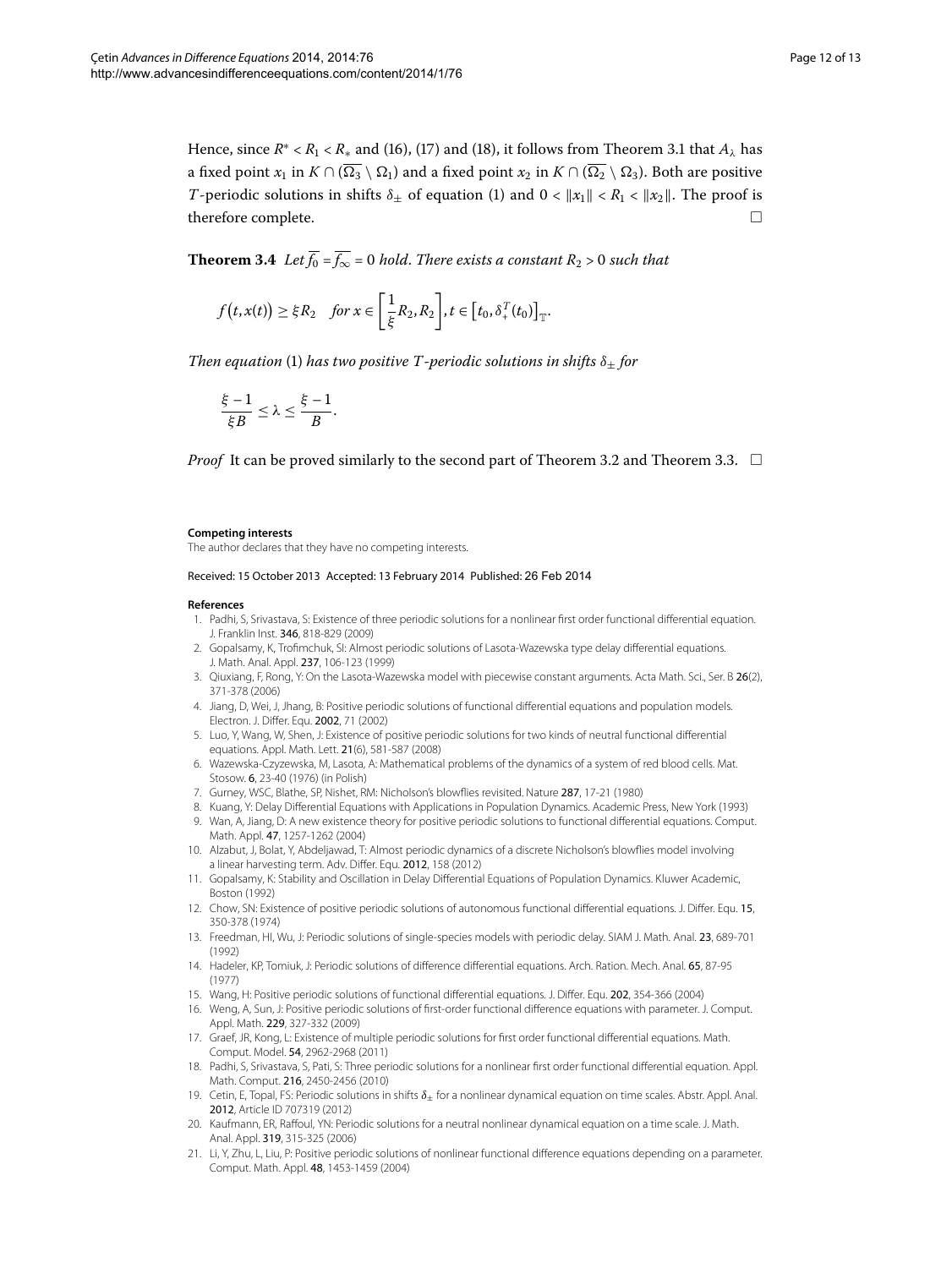Hence, since  $R^* < R_1 < R_*$  and [\(](#page-10-1)16), (17) and (18), it follows from Theorem 3[.](#page-7-2)1 that  $A_\lambda$  has a fixed point  $x_1$  in  $K \cap (\overline{\Omega_3} \setminus \Omega_1)$  and a fixed point  $x_2$  in  $K \cap (\overline{\Omega_2} \setminus \Omega_3)$ . Both are positive *T*-periodic solutions in shifts  $\delta_+$  of equation (1[\)](#page-1-0) and  $0 < ||x_1|| < R_1 < ||x_2||$ . The proof is therefore complete.

**Theorem 3.4** Let  $\overline{f_0} = \overline{f_{\infty}} = 0$  hold. There exists a constant  $R_2 > 0$  such that

$$
f(t,x(t)) \geq \xi R_2 \quad \text{for } x \in \left[\frac{1}{\xi}R_2, R_2\right], t \in \left[t_0, \delta_+^T(t_0)\right]_{\mathbb{T}}.
$$

*Then equation* [\(](#page-1-0)1) *has two positive T-periodic solutions in shifts*  $\delta_{\pm}$  *for* 

$$
\frac{\xi-1}{\xi B} \le \lambda \le \frac{\xi-1}{B}.
$$

<span id="page-11-0"></span>*Proof* It can be proved similarly to the second part of Theorem 3[.](#page-8-0)2 and Theorem 3.3.  $\;\;\Box$ 

#### **Competing interests**

<span id="page-11-2"></span>The author declares that they have no competing interests.

#### Received: 15 October 2013 Accepted: 13 February 2014 Published: 26 Feb 2014

#### <span id="page-11-1"></span>**References**

- 1. Padhi, S, Srivastava, S: Existence of three periodic solutions for a nonlinear first order functional differential equation. J. Franklin Inst. 346, 818-829 (2009)
- <span id="page-11-3"></span>2. Gopalsamy, K, Trofimchuk, SI: Almost periodic solutions of Lasota-Wazewska type delay differential equations. J. Math. Anal. Appl. 237, 106-123 (1999)
- <span id="page-11-10"></span><span id="page-11-5"></span>3. Qiuxiang, F, Rong, Y: On the Lasota-Wazewska model with piecewise constant arguments. Acta Math. Sci., Ser. B 26(2), 371-378 (2006)
- <span id="page-11-4"></span>4. Jiang, D, Wei, J, Jhang, B: Positive periodic solutions of functional differential equations and population models. Electron. J. Differ. Equ. 2002, 71 (2002)
- <span id="page-11-6"></span>5. Luo, Y, Wang, W, Shen, J: Existence of positive periodic solutions for two kinds of neutral functional differential equations. Appl. Math. Lett. 21(6), 581-587 (2008)
- <span id="page-11-7"></span>6. Wazewska-Czyzewska, M, Lasota, A: Mathematical problems of the dynamics of a system of red blood cells. Mat. Stosow. 6, 23-40 (1976) (in Polish)
- <span id="page-11-8"></span>7. Gurney, WSC, Blathe, SP, Nishet, RM: Nicholson's blowflies revisited. Nature 287, 17-21 (1980)
- <span id="page-11-9"></span>8. Kuang, Y: Delay Differential Equations with Applications in Population Dynamics. Academic Press, New York (1993)
- 9. Wan, A, Jiang, D: A new existence theory for positive periodic solutions to functional differential equations. Comput. Math. Appl. 47, 1257-1262 (2004)
- <span id="page-11-11"></span>10. Alzabut, J, Bolat, Y, Abdeljawad, T: Almost periodic dynamics of a discrete Nicholson's blowflies model involving a linear harvesting term. Adv. Differ. Equ. 2012, 158 (2012)
- <span id="page-11-13"></span><span id="page-11-12"></span>11. Gopalsamy, K: Stability and Oscillation in Delay Differential Equations of Population Dynamics. Kluwer Academic, Boston (1992)
- <span id="page-11-14"></span>12. Chow, SN: Existence of positive periodic solutions of autonomous functional differential equations. J. Differ. Equ. 15, 350-378 (1974)
- 13. Freedman, HI, Wu, J: Periodic solutions of single-species models with periodic delay. SIAM J. Math. Anal. 23, 689-701 (1992)
- <span id="page-11-16"></span><span id="page-11-15"></span>14. Hadeler, KP, Tomiuk, J: Periodic solutions of difference differential equations. Arch. Ration. Mech. Anal. 65, 87-95 (1977)
- 15. Wang, H: Positive periodic solutions of functional differential equations. J. Differ. Equ. 202, 354-366 (2004)
- 16. Weng, A, Sun, J: Positive periodic solutions of first-order functional difference equations with parameter. J. Comput. Appl. Math. 229, 327-332 (2009)
- 17. Graef, JR, Kong, L: Existence of multiple periodic solutions for first order functional differential equations. Math. Comput. Model. 54, 2962-2968 (2011)
- 18. Padhi, S, Srivastava, S, Pati, S: Three periodic solutions for a nonlinear first order functional differential equation. Appl. Math. Comput. 216, 2450-2456 (2010)
- 19. Cetin, E, Topal, FS: Periodic solutions in shifts *δ*<sup>±</sup> for a nonlinear dynamical equation on time scales. Abstr. Appl. Anal. 2012, Article ID 707319 (2012)
- 20. Kaufmann, ER, Raffoul, YN: Periodic solutions for a neutral nonlinear dynamical equation on a time scale. J. Math. Anal. Appl. 319, 315-325 (2006)
- 21. Li, Y, Zhu, L, Liu, P: Positive periodic solutions of nonlinear functional difference equations depending on a parameter. Comput. Math. Appl. 48, 1453-1459 (2004)